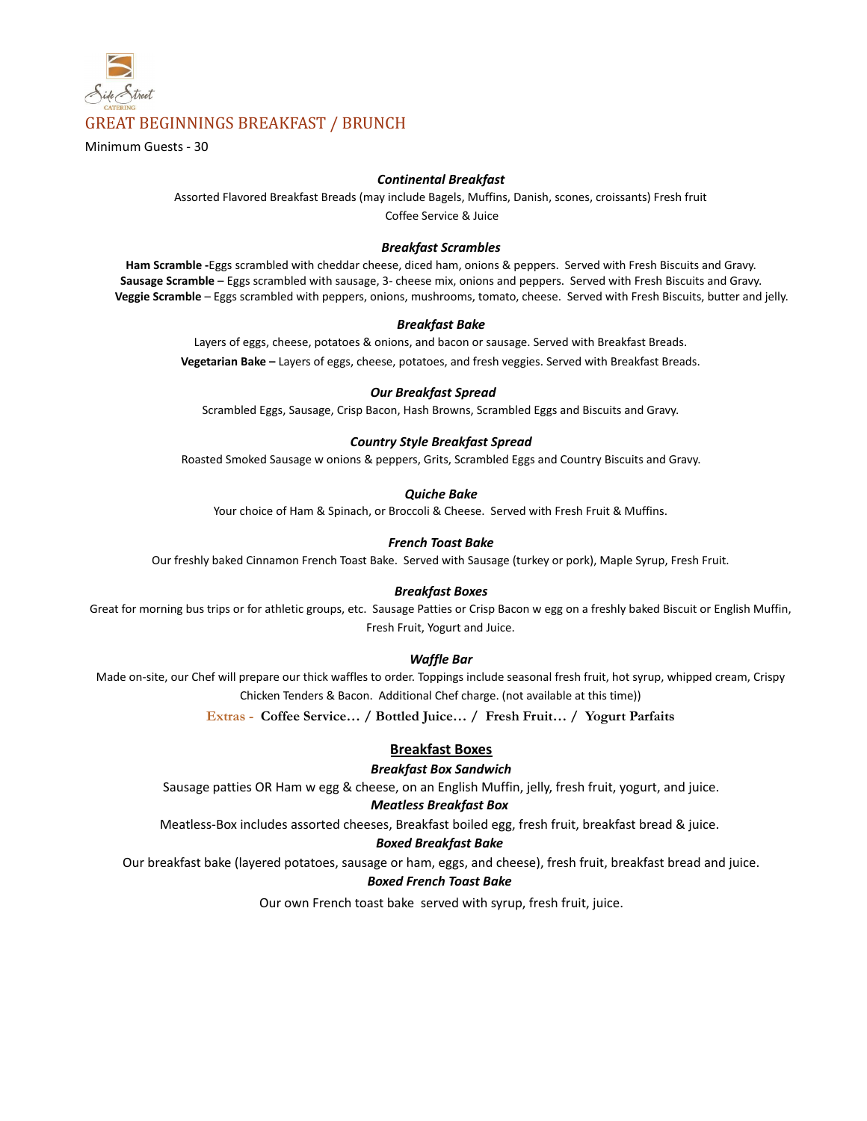

# GREAT BEGINNINGS BREAKFAST / BRUNCH

Minimum Guests - 30

#### *Continental Breakfast*

Assorted Flavored Breakfast Breads (may include Bagels, Muffins, Danish, scones, croissants) Fresh fruit Coffee Service & Juice

#### *Breakfast Scrambles*

**Ham Scramble -**Eggs scrambled with cheddar cheese, diced ham, onions & peppers. Served with Fresh Biscuits and Gravy. **Sausage Scramble** – Eggs scrambled with sausage, 3- cheese mix, onions and peppers. Served with Fresh Biscuits and Gravy. **Veggie Scramble** – Eggs scrambled with peppers, onions, mushrooms, tomato, cheese. Served with Fresh Biscuits, butter and jelly.

#### *Breakfast Bake*

Layers of eggs, cheese, potatoes & onions, and bacon or sausage. Served with Breakfast Breads. **Vegetarian Bake –** Layers of eggs, cheese, potatoes, and fresh veggies. Served with Breakfast Breads.

#### *Our Breakfast Spread*

Scrambled Eggs, Sausage, Crisp Bacon, Hash Browns, Scrambled Eggs and Biscuits and Gravy.

#### *Country Style Breakfast Spread*

Roasted Smoked Sausage w onions & peppers, Grits, Scrambled Eggs and Country Biscuits and Gravy.

#### *Quiche Bake*

Your choice of Ham & Spinach, or Broccoli & Cheese. Served with Fresh Fruit & Muffins.

#### *French Toast Bake*

Our freshly baked Cinnamon French Toast Bake. Served with Sausage (turkey or pork), Maple Syrup, Fresh Fruit.

#### *Breakfast Boxes*

Great for morning bus trips or for athletic groups, etc. Sausage Patties or Crisp Bacon w egg on a freshly baked Biscuit or English Muffin, Fresh Fruit, Yogurt and Juice.

#### *Waffle Bar*

Made on-site, our Chef will prepare our thick waffles to order. Toppings include seasonal fresh fruit, hot syrup, whipped cream, Crispy Chicken Tenders & Bacon. Additional Chef charge. (not available at this time))

**Extras - Coffee Service… / Bottled Juice… / Fresh Fruit… / Yogurt Parfaits**

#### **Breakfast Boxes**

#### *Breakfast Box Sandwich*

Sausage patties OR Ham w egg & cheese, on an English Muffin, jelly, fresh fruit, yogurt, and juice.

#### *Meatless Breakfast Box*

Meatless-Box includes assorted cheeses, Breakfast boiled egg, fresh fruit, breakfast bread & juice.

#### *Boxed Breakfast Bake*

Our breakfast bake (layered potatoes, sausage or ham, eggs, and cheese), fresh fruit, breakfast bread and juice.

#### *Boxed French Toast Bake*

Our own French toast bake served with syrup, fresh fruit, juice.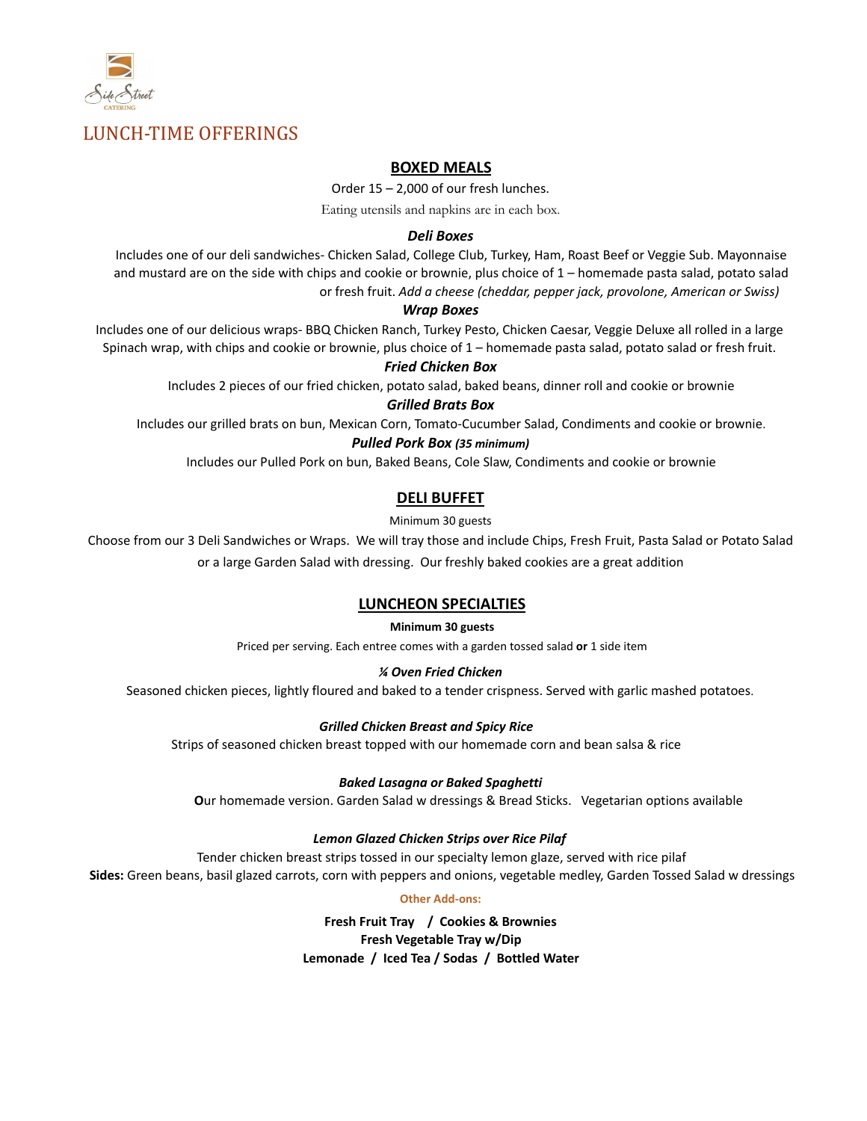

# LUNCH-TIME OFFERINGS

# **BOXED MEALS**

Order 15 – 2,000 of our fresh lunches.

Eating utensils and napkins are in each box.

# *Deli Boxes*

Includes one of our deli sandwiches- Chicken Salad, College Club, Turkey, Ham, Roast Beef or Veggie Sub. Mayonnaise and mustard are on the side with chips and cookie or brownie, plus choice of 1 – homemade pasta salad, potato salad or fresh fruit. *Add a cheese (cheddar, pepper jack, provolone, American or Swiss)*

#### *Wrap Boxes*

Includes one of our delicious wraps- BBQ Chicken Ranch, Turkey Pesto, Chicken Caesar, Veggie Deluxe all rolled in a large Spinach wrap, with chips and cookie or brownie, plus choice of 1 – homemade pasta salad, potato salad or fresh fruit.

#### *Fried Chicken Box*

Includes 2 pieces of our fried chicken, potato salad, baked beans, dinner roll and cookie or brownie

#### *Grilled Brats Box*

Includes our grilled brats on bun, Mexican Corn, Tomato-Cucumber Salad, Condiments and cookie or brownie.

#### *Pulled Pork Box (35 minimum)*

Includes our Pulled Pork on bun, Baked Beans, Cole Slaw, Condiments and cookie or brownie

# **DELI BUFFET**

Minimum 30 guests

Choose from our 3 Deli Sandwiches or Wraps. We will tray those and include Chips, Fresh Fruit, Pasta Salad or Potato Salad or a large Garden Salad with dressing. Our freshly baked cookies are a great addition

# **LUNCHEON SPECIALTIES**

#### **Minimum 30 guests**

Priced per serving. Each entree comes with a garden tossed salad **or** 1 side item

#### *¼ Oven Fried Chicken*

Seasoned chicken pieces, lightly floured and baked to a tender crispness. Served with garlic mashed potatoes.

#### *Grilled Chicken Breast and Spicy Rice*

Strips of seasoned chicken breast topped with our homemade corn and bean salsa & rice

#### *Baked Lasagna or Baked Spaghetti*

**O**ur homemade version. Garden Salad w dressings & Bread Sticks. Vegetarian options available

#### *Lemon Glazed Chicken Strips over Rice Pilaf*

Tender chicken breast strips tossed in our specialty lemon glaze, served with rice pilaf **Sides:** Green beans, basil glazed carrots, corn with peppers and onions, vegetable medley, Garden Tossed Salad w dressings

#### **Other Add-ons:**

**Fresh Fruit Tray / Cookies & Brownies Fresh Vegetable Tray w/Dip Lemonade / Iced Tea / Sodas / Bottled Water**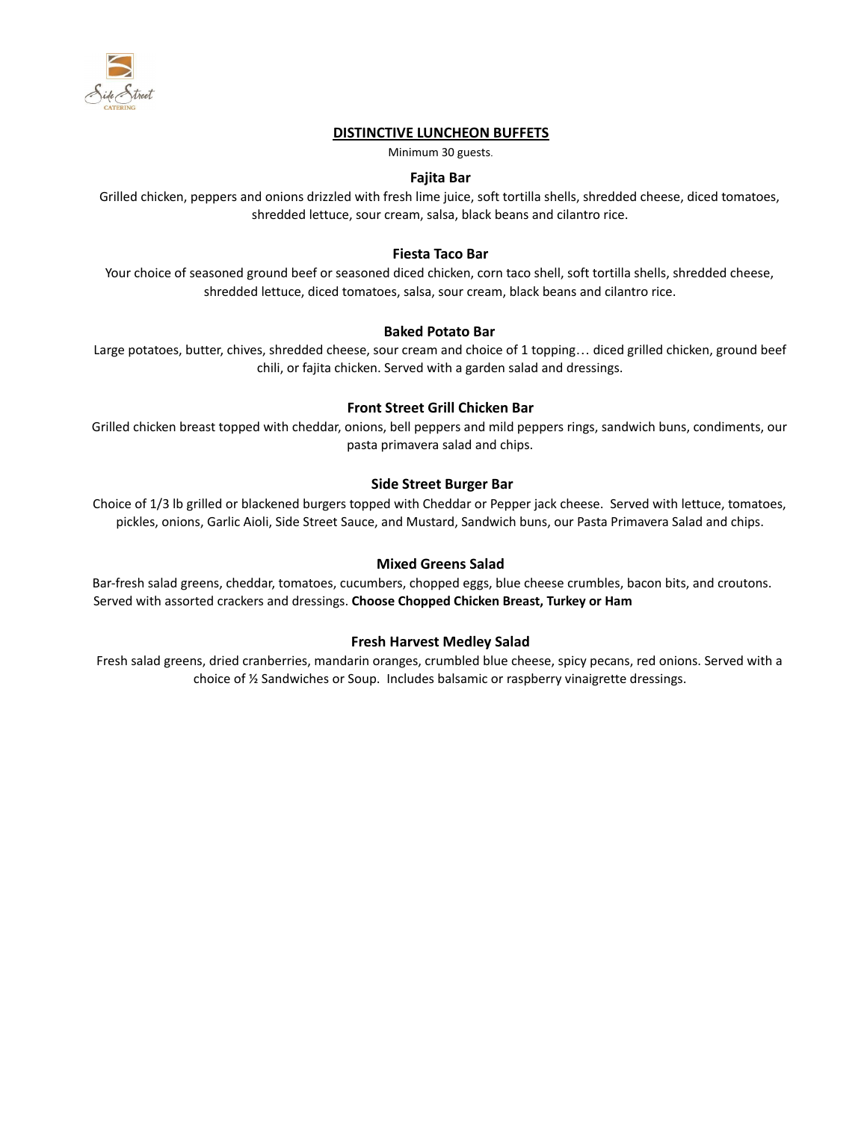

# **DISTINCTIVE LUNCHEON BUFFETS**

Minimum 30 guests.

### **Fajita Bar**

Grilled chicken, peppers and onions drizzled with fresh lime juice, soft tortilla shells, shredded cheese, diced tomatoes, shredded lettuce, sour cream, salsa, black beans and cilantro rice.

# **Fiesta Taco Bar**

Your choice of seasoned ground beef or seasoned diced chicken, corn taco shell, soft tortilla shells, shredded cheese, shredded lettuce, diced tomatoes, salsa, sour cream, black beans and cilantro rice.

# **Baked Potato Bar**

Large potatoes, butter, chives, shredded cheese, sour cream and choice of 1 topping… diced grilled chicken, ground beef chili, or fajita chicken. Served with a garden salad and dressings.

#### **Front Street Grill Chicken Bar**

Grilled chicken breast topped with cheddar, onions, bell peppers and mild peppers rings, sandwich buns, condiments, our pasta primavera salad and chips.

# **Side Street Burger Bar**

Choice of 1/3 lb grilled or blackened burgers topped with Cheddar or Pepper jack cheese. Served with lettuce, tomatoes, pickles, onions, Garlic Aioli, Side Street Sauce, and Mustard, Sandwich buns, our Pasta Primavera Salad and chips.

### **Mixed Greens Salad**

Bar-fresh salad greens, cheddar, tomatoes, cucumbers, chopped eggs, blue cheese crumbles, bacon bits, and croutons. Served with assorted crackers and dressings. **Choose Chopped Chicken Breast, Turkey or Ham**

# **Fresh Harvest Medley Salad**

Fresh salad greens, dried cranberries, mandarin oranges, crumbled blue cheese, spicy pecans, red onions. Served with a choice of ½ Sandwiches or Soup. Includes balsamic or raspberry vinaigrette dressings.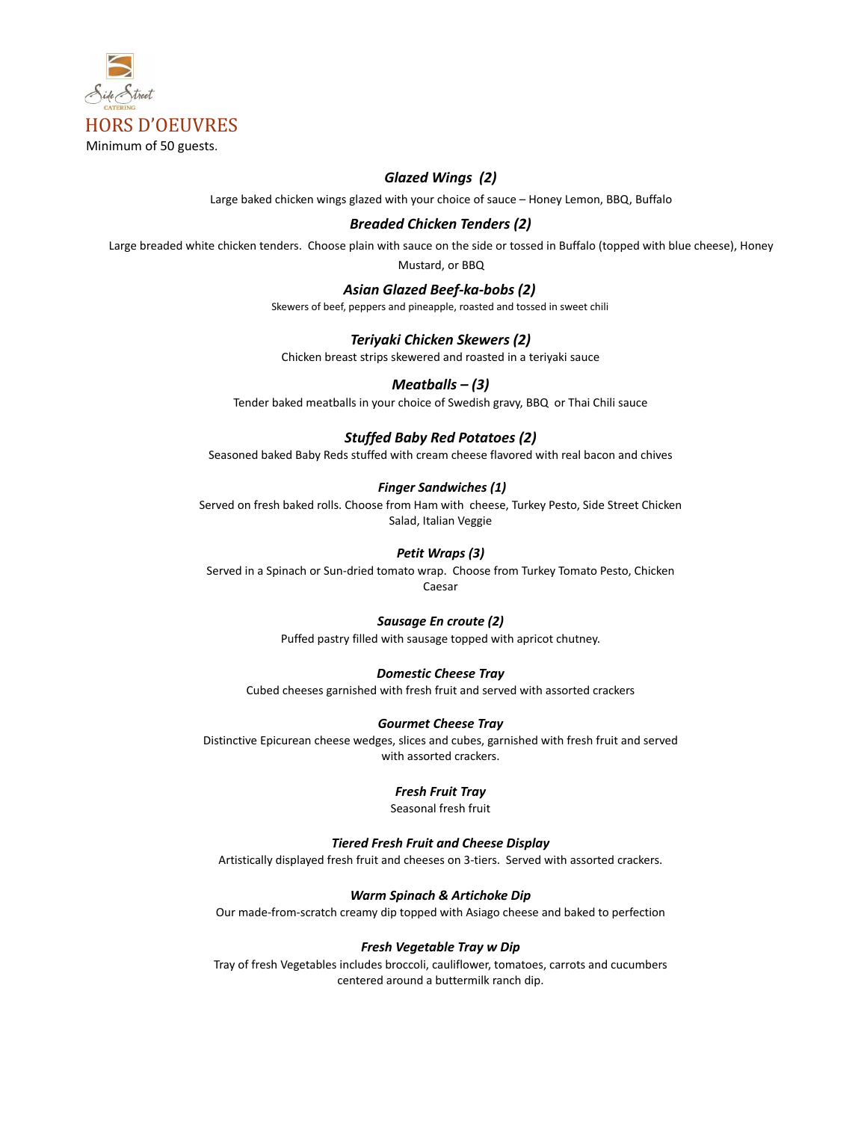

# *Glazed Wings (2)*

Large baked chicken wings glazed with your choice of sauce – Honey Lemon, BBQ, Buffalo

### *Breaded Chicken Tenders (2)*

Large breaded white chicken tenders. Choose plain with sauce on the side or tossed in Buffalo (topped with blue cheese), Honey

Mustard, or BBQ

#### *Asian Glazed Beef-ka-bobs (2)*

Skewers of beef, peppers and pineapple, roasted and tossed in sweet chili

#### *Teriyaki Chicken Skewers (2)*

Chicken breast strips skewered and roasted in a teriyaki sauce

# *Meatballs – (3)*

Tender baked meatballs in your choice of Swedish gravy, BBQ or Thai Chili sauce

# *Stuffed Baby Red Potatoes (2)*

Seasoned baked Baby Reds stuffed with cream cheese flavored with real bacon and chives

#### *Finger Sandwiches (1)*

Served on fresh baked rolls. Choose from Ham with cheese, Turkey Pesto, Side Street Chicken Salad, Italian Veggie

# *Petit Wraps (3)*

Served in a Spinach or Sun-dried tomato wrap. Choose from Turkey Tomato Pesto, Chicken Caesar

# *Sausage En croute (2)*

Puffed pastry filled with sausage topped with apricot chutney.

#### *Domestic Cheese Tray*

Cubed cheeses garnished with fresh fruit and served with assorted crackers

#### *Gourmet Cheese Tray*

Distinctive Epicurean cheese wedges, slices and cubes, garnished with fresh fruit and served with assorted crackers.

#### *Fresh Fruit Tray*

Seasonal fresh fruit

#### *Tiered Fresh Fruit and Cheese Display*

Artistically displayed fresh fruit and cheeses on 3-tiers. Served with assorted crackers.

#### *Warm Spinach & Artichoke Dip*

Our made-from-scratch creamy dip topped with Asiago cheese and baked to perfection

#### *Fresh Vegetable Tray w Dip*

Tray of fresh Vegetables includes broccoli, cauliflower, tomatoes, carrots and cucumbers centered around a buttermilk ranch dip.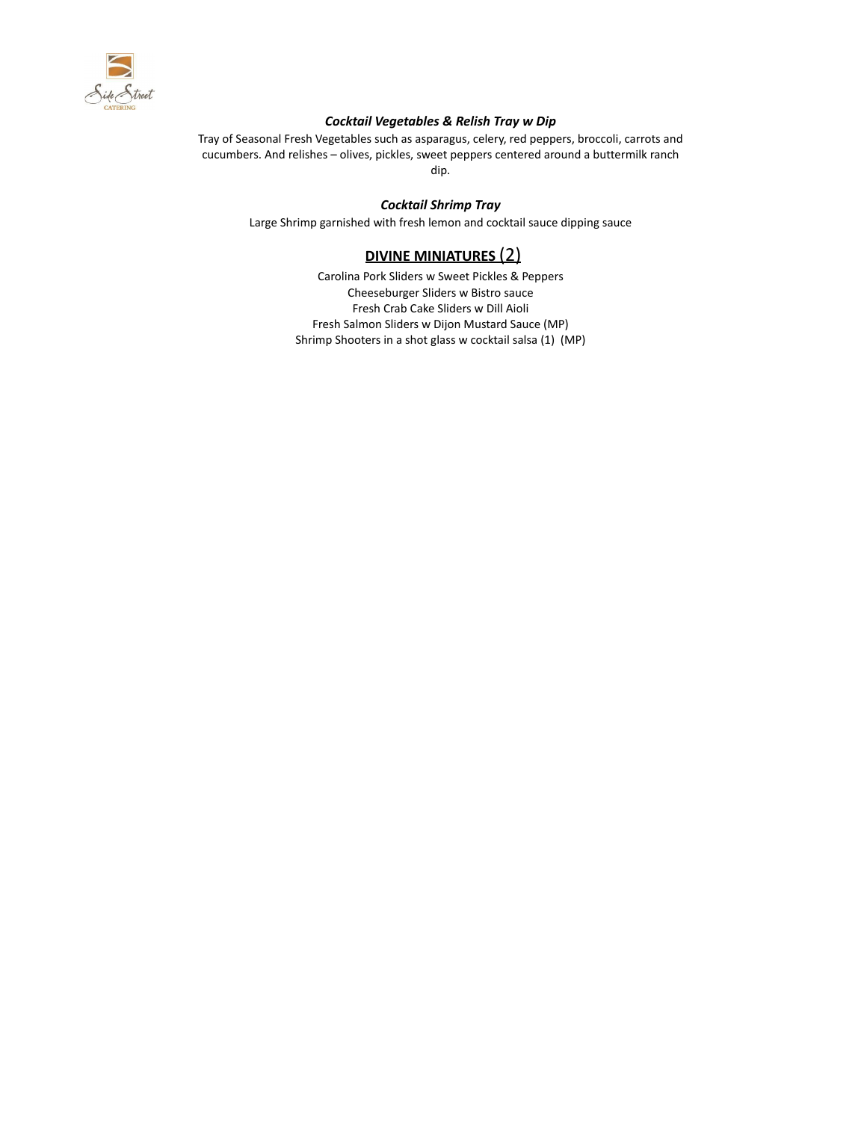

#### *Cocktail Vegetables & Relish Tray w Dip*

Tray of Seasonal Fresh Vegetables such as asparagus, celery, red peppers, broccoli, carrots and cucumbers. And relishes – olives, pickles, sweet peppers centered around a buttermilk ranch dip.

*Cocktail Shrimp Tray*

Large Shrimp garnished with fresh lemon and cocktail sauce dipping sauce

# **DIVINE MINIATURES** (2)

Carolina Pork Sliders w Sweet Pickles & Peppers Cheeseburger Sliders w Bistro sauce Fresh Crab Cake Sliders w Dill Aioli Fresh Salmon Sliders w Dijon Mustard Sauce (MP) Shrimp Shooters in a shot glass w cocktail salsa (1) (MP)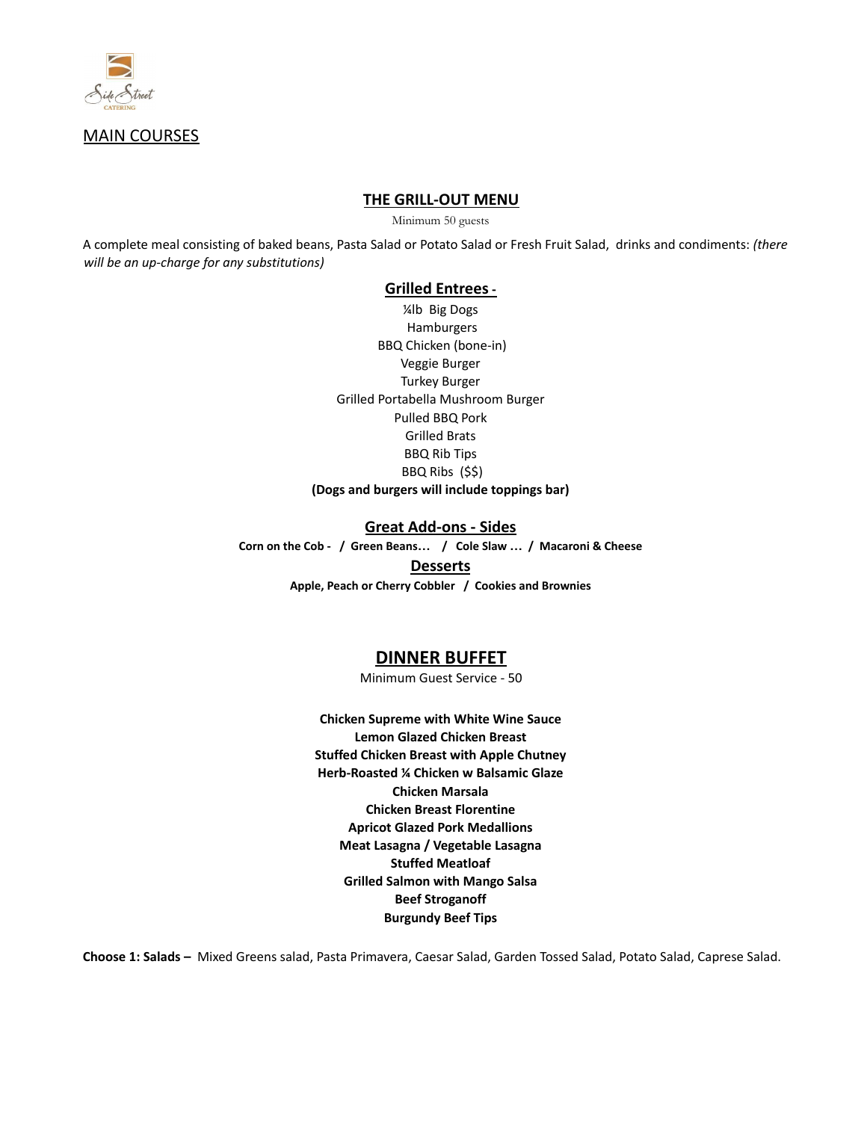

# MAIN COURSES

# **THE GRILL-OUT MENU**

Minimum 50 guests

A complete meal consisting of baked beans, Pasta Salad or Potato Salad or Fresh Fruit Salad, drinks and condiments: *(there will be an up-charge for any substitutions)*

#### **Grilled Entrees-**

¼lb Big Dogs Hamburgers BBQ Chicken (bone-in) Veggie Burger Turkey Burger Grilled Portabella Mushroom Burger Pulled BBQ Pork Grilled Brats BBQ Rib Tips BBQ Ribs (\$\$) **(Dogs and burgers will include toppings bar)**

#### **Great Add-ons - Sides**

**Corn on the Cob - / Green Beans… / Cole Slaw … / Macaroni & Cheese Desserts Apple, Peach or Cherry Cobbler / Cookies and Brownies**

# **DINNER BUFFET**

Minimum Guest Service - 50

**Chicken Supreme with White Wine Sauce Lemon Glazed Chicken Breast Stuffed Chicken Breast with Apple Chutney Herb-Roasted ¼ Chicken w Balsamic Glaze Chicken Marsala Chicken Breast Florentine Apricot Glazed Pork Medallions Meat Lasagna / Vegetable Lasagna Stuffed Meatloaf Grilled Salmon with Mango Salsa Beef Stroganoff Burgundy Beef Tips**

**Choose 1: Salads –** Mixed Greens salad, Pasta Primavera, Caesar Salad, Garden Tossed Salad, Potato Salad, Caprese Salad.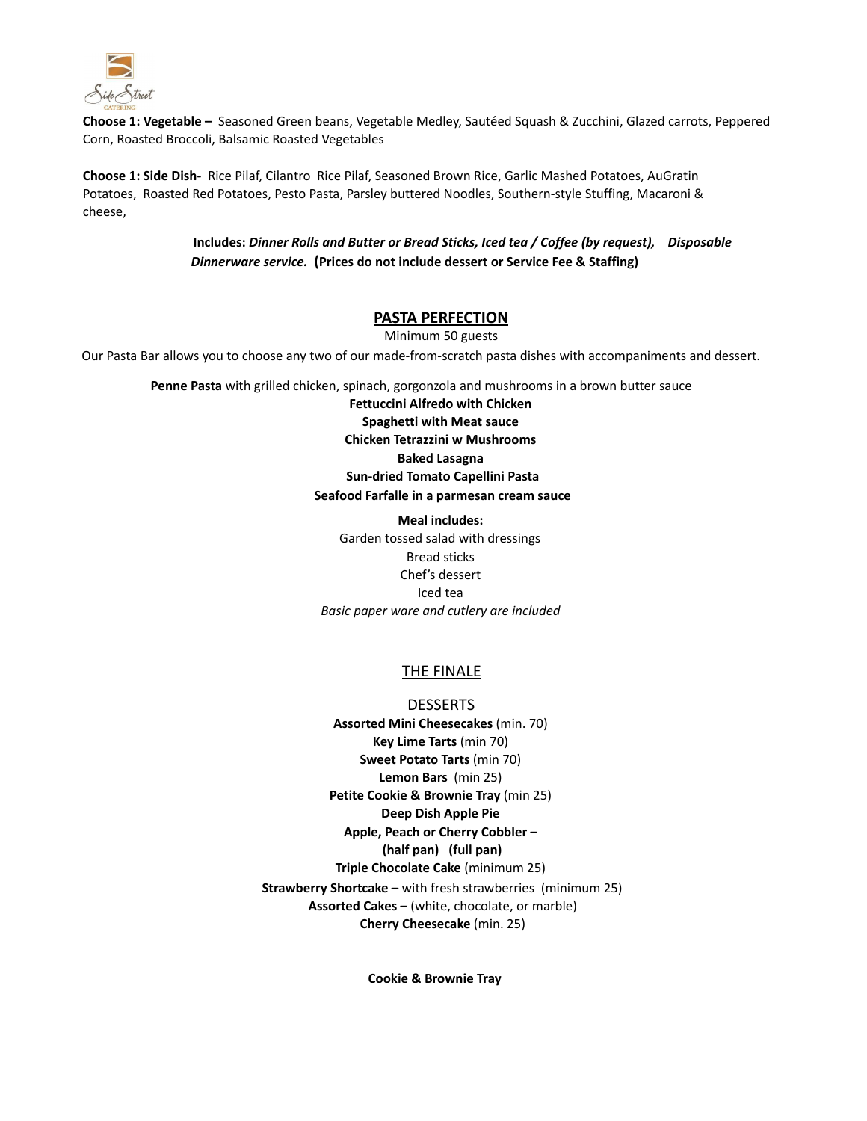

**Choose 1: Vegetable –** Seasoned Green beans, Vegetable Medley, Sautéed Squash & Zucchini, Glazed carrots, Peppered Corn, Roasted Broccoli, Balsamic Roasted Vegetables

**Choose 1: Side Dish-** Rice Pilaf, Cilantro Rice Pilaf, Seasoned Brown Rice, Garlic Mashed Potatoes, AuGratin Potatoes, Roasted Red Potatoes, Pesto Pasta, Parsley buttered Noodles, Southern-style Stuffing, Macaroni & cheese,

> **Includes:** *Dinner Rolls and Butter or Bread Sticks, Iced tea / Coffee (by request), Disposable Dinnerware service.* **(Prices do not include dessert or Service Fee & Staffing)**

# **PASTA PERFECTION**

Minimum 50 guests

Our Pasta Bar allows you to choose any two of our made-from-scratch pasta dishes with accompaniments and dessert.

**Penne Pasta** with grilled chicken, spinach, gorgonzola and mushrooms in a brown butter sauce

**Fettuccini Alfredo with Chicken Spaghetti with Meat sauce Chicken Tetrazzini w Mushrooms Baked Lasagna Sun-dried Tomato Capellini Pasta Seafood Farfalle in a parmesan cream sauce**

**Meal includes:** Garden tossed salad with dressings Bread sticks Chef's dessert Iced tea *Basic paper ware and cutlery are included*

# THE FINALE

**DESSERTS Assorted Mini Cheesecakes** (min. 70) **Key Lime Tarts** (min 70) **Sweet Potato Tarts** (min 70) **Lemon Bars** (min 25) **Petite Cookie & Brownie Tray** (min 25) **Deep Dish Apple Pie Apple, Peach or Cherry Cobbler – (half pan) (full pan) Triple Chocolate Cake** (minimum 25) **Strawberry Shortcake –** with fresh strawberries (minimum 25) **Assorted Cakes –** (white, chocolate, or marble) **Cherry Cheesecake** (min. 25)

**Cookie & Brownie Tray**